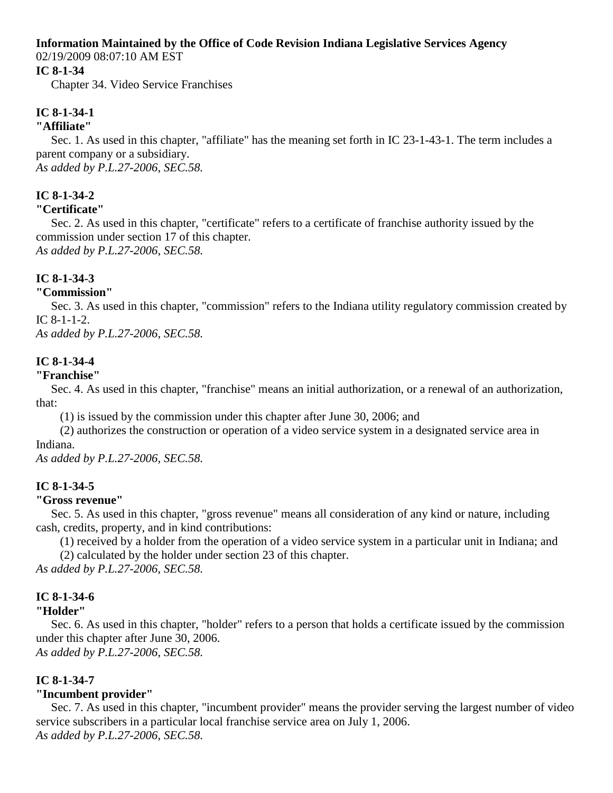#### **Information Maintained by the Office of Code Revision Indiana Legislative Services Agency**

02/19/2009 08:07:10 AM EST

#### **IC 8-1-34**

Chapter 34. Video Service Franchises

# **IC 8-1-34-1**

#### **"Affiliate"**

Sec. 1. As used in this chapter, "affiliate" has the meaning set forth in IC 23-1-43-1. The term includes a parent company or a subsidiary. *As added by P.L.27-2006, SEC.58.*

# **IC 8-1-34-2**

#### **"Certificate"**

Sec. 2. As used in this chapter, "certificate" refers to a certificate of franchise authority issued by the commission under section 17 of this chapter. *As added by P.L.27-2006, SEC.58.*

## **IC 8-1-34-3**

#### **"Commission"**

Sec. 3. As used in this chapter, "commission" refers to the Indiana utility regulatory commission created by IC 8-1-1-2.

*As added by P.L.27-2006, SEC.58.*

## **IC 8-1-34-4**

#### **"Franchise"**

Sec. 4. As used in this chapter, "franchise" means an initial authorization, or a renewal of an authorization, that:

(1) is issued by the commission under this chapter after June 30, 2006; and

 (2) authorizes the construction or operation of a video service system in a designated service area in Indiana.

*As added by P.L.27-2006, SEC.58.*

## **IC 8-1-34-5**

## **"Gross revenue"**

Sec. 5. As used in this chapter, "gross revenue" means all consideration of any kind or nature, including cash, credits, property, and in kind contributions:

(1) received by a holder from the operation of a video service system in a particular unit in Indiana; and

(2) calculated by the holder under section 23 of this chapter.

*As added by P.L.27-2006, SEC.58.*

# **IC 8-1-34-6**

## **"Holder"**

Sec. 6. As used in this chapter, "holder" refers to a person that holds a certificate issued by the commission under this chapter after June 30, 2006.

*As added by P.L.27-2006, SEC.58.*

## **IC 8-1-34-7**

## **"Incumbent provider"**

Sec. 7. As used in this chapter, "incumbent provider" means the provider serving the largest number of video service subscribers in a particular local franchise service area on July 1, 2006. *As added by P.L.27-2006, SEC.58.*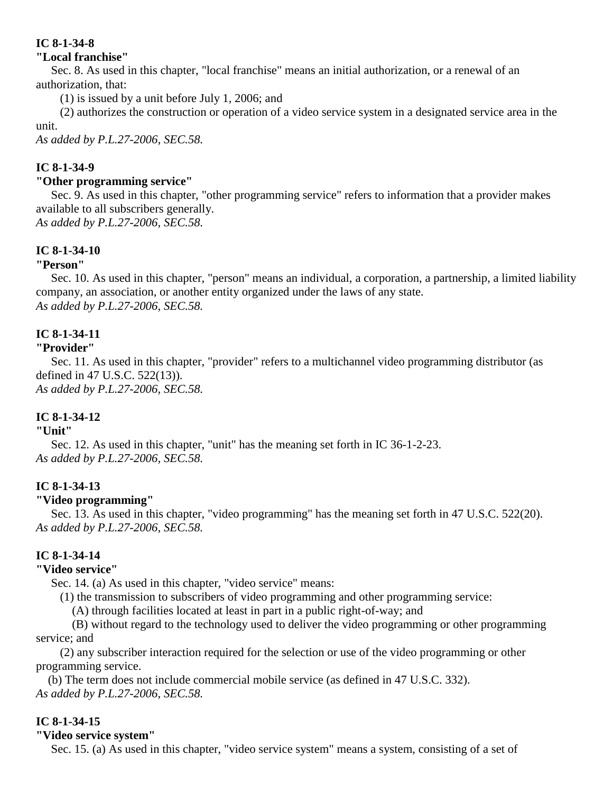#### **"Local franchise"**

Sec. 8. As used in this chapter, "local franchise" means an initial authorization, or a renewal of an authorization, that:

(1) is issued by a unit before July 1, 2006; and

 (2) authorizes the construction or operation of a video service system in a designated service area in the unit.

*As added by P.L.27-2006, SEC.58.*

# **IC 8-1-34-9**

#### **"Other programming service"**

Sec. 9. As used in this chapter, "other programming service" refers to information that a provider makes available to all subscribers generally. *As added by P.L.27-2006, SEC.58.*

## **IC 8-1-34-10**

## **"Person"**

Sec. 10. As used in this chapter, "person" means an individual, a corporation, a partnership, a limited liability company, an association, or another entity organized under the laws of any state. *As added by P.L.27-2006, SEC.58.*

# **IC 8-1-34-11**

## **"Provider"**

Sec. 11. As used in this chapter, "provider" refers to a multichannel video programming distributor (as defined in 47 U.S.C. 522(13)). *As added by P.L.27-2006, SEC.58.*

## **IC 8-1-34-12**

#### **"Unit"**

Sec. 12. As used in this chapter, "unit" has the meaning set forth in IC 36-1-2-23. *As added by P.L.27-2006, SEC.58.*

## **IC 8-1-34-13**

## **"Video programming"**

Sec. 13. As used in this chapter, "video programming" has the meaning set forth in 47 U.S.C. 522(20). *As added by P.L.27-2006, SEC.58.*

## **IC 8-1-34-14**

## **"Video service"**

Sec. 14. (a) As used in this chapter, "video service" means:

(1) the transmission to subscribers of video programming and other programming service:

(A) through facilities located at least in part in a public right-of-way; and

 (B) without regard to the technology used to deliver the video programming or other programming service; and

 (2) any subscriber interaction required for the selection or use of the video programming or other programming service.

 (b) The term does not include commercial mobile service (as defined in 47 U.S.C. 332). *As added by P.L.27-2006, SEC.58.*

## **IC 8-1-34-15**

#### **"Video service system"**

Sec. 15. (a) As used in this chapter, "video service system" means a system, consisting of a set of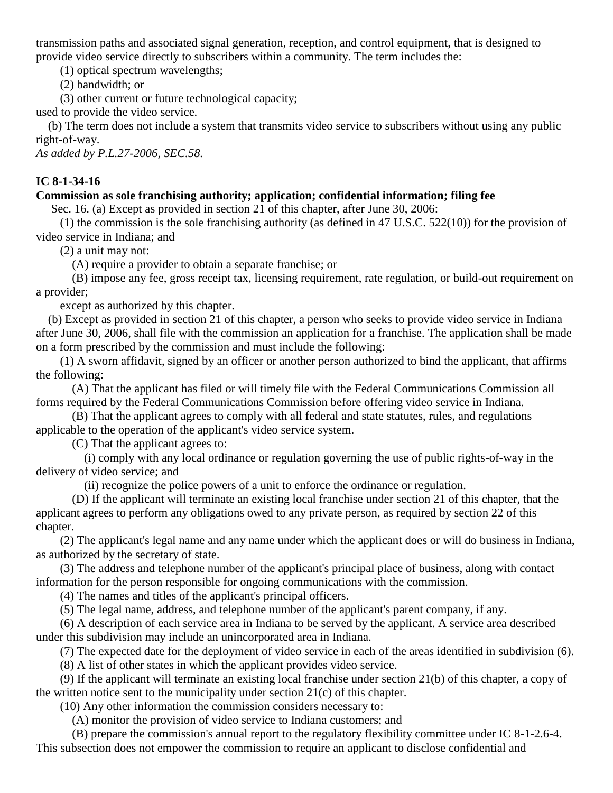transmission paths and associated signal generation, reception, and control equipment, that is designed to provide video service directly to subscribers within a community. The term includes the:

(1) optical spectrum wavelengths;

(2) bandwidth; or

(3) other current or future technological capacity;

used to provide the video service.

 (b) The term does not include a system that transmits video service to subscribers without using any public right-of-way.

*As added by P.L.27-2006, SEC.58.*

# **IC 8-1-34-16**

## **Commission as sole franchising authority; application; confidential information; filing fee**

Sec. 16. (a) Except as provided in section 21 of this chapter, after June 30, 2006:

(1) the commission is the sole franchising authority (as defined in 47 U.S.C.  $522(10)$ ) for the provision of video service in Indiana; and

(2) a unit may not:

(A) require a provider to obtain a separate franchise; or

 (B) impose any fee, gross receipt tax, licensing requirement, rate regulation, or build-out requirement on a provider;

except as authorized by this chapter.

 (b) Except as provided in section 21 of this chapter, a person who seeks to provide video service in Indiana after June 30, 2006, shall file with the commission an application for a franchise. The application shall be made on a form prescribed by the commission and must include the following:

 (1) A sworn affidavit, signed by an officer or another person authorized to bind the applicant, that affirms the following:

 (A) That the applicant has filed or will timely file with the Federal Communications Commission all forms required by the Federal Communications Commission before offering video service in Indiana.

 (B) That the applicant agrees to comply with all federal and state statutes, rules, and regulations applicable to the operation of the applicant's video service system.

(C) That the applicant agrees to:

 (i) comply with any local ordinance or regulation governing the use of public rights-of-way in the delivery of video service; and

(ii) recognize the police powers of a unit to enforce the ordinance or regulation.

 (D) If the applicant will terminate an existing local franchise under section 21 of this chapter, that the applicant agrees to perform any obligations owed to any private person, as required by section 22 of this chapter.

 (2) The applicant's legal name and any name under which the applicant does or will do business in Indiana, as authorized by the secretary of state.

 (3) The address and telephone number of the applicant's principal place of business, along with contact information for the person responsible for ongoing communications with the commission.

(4) The names and titles of the applicant's principal officers.

(5) The legal name, address, and telephone number of the applicant's parent company, if any.

 (6) A description of each service area in Indiana to be served by the applicant. A service area described under this subdivision may include an unincorporated area in Indiana.

(7) The expected date for the deployment of video service in each of the areas identified in subdivision (6).

(8) A list of other states in which the applicant provides video service.

 (9) If the applicant will terminate an existing local franchise under section 21(b) of this chapter, a copy of the written notice sent to the municipality under section 21(c) of this chapter.

(10) Any other information the commission considers necessary to:

(A) monitor the provision of video service to Indiana customers; and

 (B) prepare the commission's annual report to the regulatory flexibility committee under IC 8-1-2.6-4. This subsection does not empower the commission to require an applicant to disclose confidential and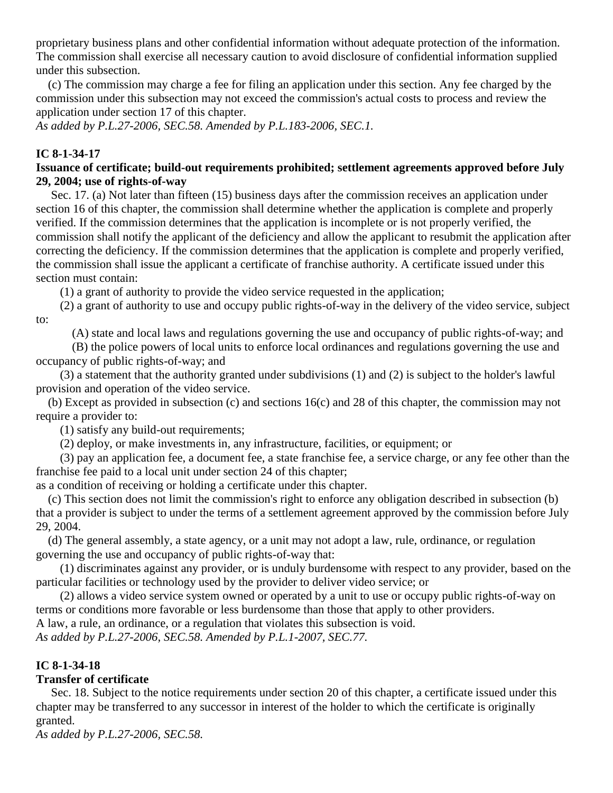proprietary business plans and other confidential information without adequate protection of the information. The commission shall exercise all necessary caution to avoid disclosure of confidential information supplied under this subsection.

 (c) The commission may charge a fee for filing an application under this section. Any fee charged by the commission under this subsection may not exceed the commission's actual costs to process and review the application under section 17 of this chapter.

*As added by P.L.27-2006, SEC.58. Amended by P.L.183-2006, SEC.1.*

#### **IC 8-1-34-17**

#### **Issuance of certificate; build-out requirements prohibited; settlement agreements approved before July 29, 2004; use of rights-of-way**

Sec. 17. (a) Not later than fifteen (15) business days after the commission receives an application under section 16 of this chapter, the commission shall determine whether the application is complete and properly verified. If the commission determines that the application is incomplete or is not properly verified, the commission shall notify the applicant of the deficiency and allow the applicant to resubmit the application after correcting the deficiency. If the commission determines that the application is complete and properly verified, the commission shall issue the applicant a certificate of franchise authority. A certificate issued under this section must contain:

(1) a grant of authority to provide the video service requested in the application;

 (2) a grant of authority to use and occupy public rights-of-way in the delivery of the video service, subject to:

(A) state and local laws and regulations governing the use and occupancy of public rights-of-way; and

 (B) the police powers of local units to enforce local ordinances and regulations governing the use and occupancy of public rights-of-way; and

 (3) a statement that the authority granted under subdivisions (1) and (2) is subject to the holder's lawful provision and operation of the video service.

 (b) Except as provided in subsection (c) and sections 16(c) and 28 of this chapter, the commission may not require a provider to:

(1) satisfy any build-out requirements;

(2) deploy, or make investments in, any infrastructure, facilities, or equipment; or

 (3) pay an application fee, a document fee, a state franchise fee, a service charge, or any fee other than the franchise fee paid to a local unit under section 24 of this chapter;

as a condition of receiving or holding a certificate under this chapter.

 (c) This section does not limit the commission's right to enforce any obligation described in subsection (b) that a provider is subject to under the terms of a settlement agreement approved by the commission before July 29, 2004.

 (d) The general assembly, a state agency, or a unit may not adopt a law, rule, ordinance, or regulation governing the use and occupancy of public rights-of-way that:

 (1) discriminates against any provider, or is unduly burdensome with respect to any provider, based on the particular facilities or technology used by the provider to deliver video service; or

 (2) allows a video service system owned or operated by a unit to use or occupy public rights-of-way on terms or conditions more favorable or less burdensome than those that apply to other providers. A law, a rule, an ordinance, or a regulation that violates this subsection is void.

*As added by P.L.27-2006, SEC.58. Amended by P.L.1-2007, SEC.77.*

## **IC 8-1-34-18**

## **Transfer of certificate**

Sec. 18. Subject to the notice requirements under section 20 of this chapter, a certificate issued under this chapter may be transferred to any successor in interest of the holder to which the certificate is originally granted.

*As added by P.L.27-2006, SEC.58.*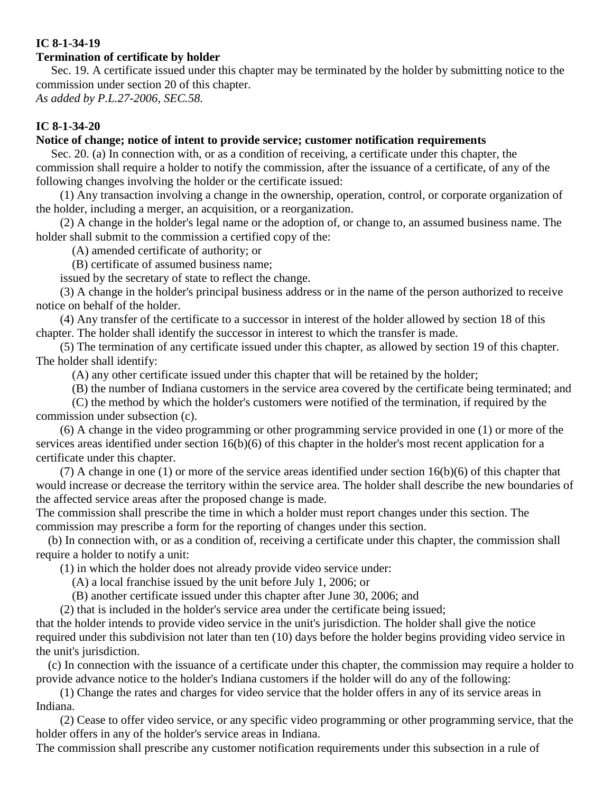#### **Termination of certificate by holder**

Sec. 19. A certificate issued under this chapter may be terminated by the holder by submitting notice to the commission under section 20 of this chapter.

*As added by P.L.27-2006, SEC.58.*

#### **IC 8-1-34-20**

#### **Notice of change; notice of intent to provide service; customer notification requirements**

Sec. 20. (a) In connection with, or as a condition of receiving, a certificate under this chapter, the commission shall require a holder to notify the commission, after the issuance of a certificate, of any of the following changes involving the holder or the certificate issued:

 (1) Any transaction involving a change in the ownership, operation, control, or corporate organization of the holder, including a merger, an acquisition, or a reorganization.

 (2) A change in the holder's legal name or the adoption of, or change to, an assumed business name. The holder shall submit to the commission a certified copy of the:

(A) amended certificate of authority; or

(B) certificate of assumed business name;

issued by the secretary of state to reflect the change.

 (3) A change in the holder's principal business address or in the name of the person authorized to receive notice on behalf of the holder.

 (4) Any transfer of the certificate to a successor in interest of the holder allowed by section 18 of this chapter. The holder shall identify the successor in interest to which the transfer is made.

 (5) The termination of any certificate issued under this chapter, as allowed by section 19 of this chapter. The holder shall identify:

(A) any other certificate issued under this chapter that will be retained by the holder;

(B) the number of Indiana customers in the service area covered by the certificate being terminated; and

 (C) the method by which the holder's customers were notified of the termination, if required by the commission under subsection (c).

 (6) A change in the video programming or other programming service provided in one (1) or more of the services areas identified under section 16(b)(6) of this chapter in the holder's most recent application for a certificate under this chapter.

 (7) A change in one (1) or more of the service areas identified under section 16(b)(6) of this chapter that would increase or decrease the territory within the service area. The holder shall describe the new boundaries of the affected service areas after the proposed change is made.

The commission shall prescribe the time in which a holder must report changes under this section. The commission may prescribe a form for the reporting of changes under this section.

 (b) In connection with, or as a condition of, receiving a certificate under this chapter, the commission shall require a holder to notify a unit:

(1) in which the holder does not already provide video service under:

(A) a local franchise issued by the unit before July 1, 2006; or

(B) another certificate issued under this chapter after June 30, 2006; and

(2) that is included in the holder's service area under the certificate being issued;

that the holder intends to provide video service in the unit's jurisdiction. The holder shall give the notice required under this subdivision not later than ten (10) days before the holder begins providing video service in the unit's jurisdiction.

 (c) In connection with the issuance of a certificate under this chapter, the commission may require a holder to provide advance notice to the holder's Indiana customers if the holder will do any of the following:

 (1) Change the rates and charges for video service that the holder offers in any of its service areas in Indiana.

 (2) Cease to offer video service, or any specific video programming or other programming service, that the holder offers in any of the holder's service areas in Indiana.

The commission shall prescribe any customer notification requirements under this subsection in a rule of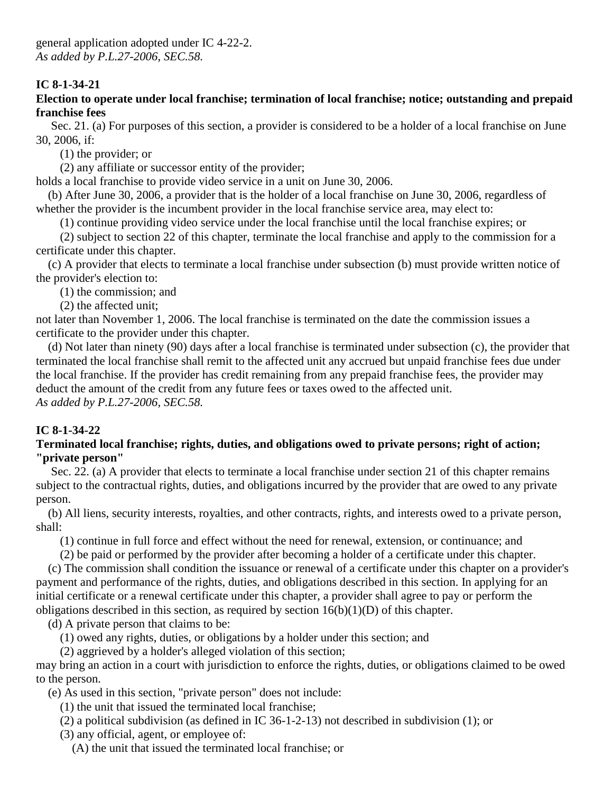#### **Election to operate under local franchise; termination of local franchise; notice; outstanding and prepaid franchise fees**

Sec. 21. (a) For purposes of this section, a provider is considered to be a holder of a local franchise on June 30, 2006, if:

(1) the provider; or

(2) any affiliate or successor entity of the provider;

holds a local franchise to provide video service in a unit on June 30, 2006.

 (b) After June 30, 2006, a provider that is the holder of a local franchise on June 30, 2006, regardless of whether the provider is the incumbent provider in the local franchise service area, may elect to:

(1) continue providing video service under the local franchise until the local franchise expires; or

 (2) subject to section 22 of this chapter, terminate the local franchise and apply to the commission for a certificate under this chapter.

 (c) A provider that elects to terminate a local franchise under subsection (b) must provide written notice of the provider's election to:

(1) the commission; and

(2) the affected unit;

not later than November 1, 2006. The local franchise is terminated on the date the commission issues a certificate to the provider under this chapter.

 (d) Not later than ninety (90) days after a local franchise is terminated under subsection (c), the provider that terminated the local franchise shall remit to the affected unit any accrued but unpaid franchise fees due under the local franchise. If the provider has credit remaining from any prepaid franchise fees, the provider may deduct the amount of the credit from any future fees or taxes owed to the affected unit. *As added by P.L.27-2006, SEC.58.*

# **IC 8-1-34-22**

#### **Terminated local franchise; rights, duties, and obligations owed to private persons; right of action; "private person"**

Sec. 22. (a) A provider that elects to terminate a local franchise under section 21 of this chapter remains subject to the contractual rights, duties, and obligations incurred by the provider that are owed to any private person.

 (b) All liens, security interests, royalties, and other contracts, rights, and interests owed to a private person, shall:

(1) continue in full force and effect without the need for renewal, extension, or continuance; and

(2) be paid or performed by the provider after becoming a holder of a certificate under this chapter.

 (c) The commission shall condition the issuance or renewal of a certificate under this chapter on a provider's payment and performance of the rights, duties, and obligations described in this section. In applying for an initial certificate or a renewal certificate under this chapter, a provider shall agree to pay or perform the obligations described in this section, as required by section  $16(b)(1)(D)$  of this chapter.

(d) A private person that claims to be:

(1) owed any rights, duties, or obligations by a holder under this section; and

(2) aggrieved by a holder's alleged violation of this section;

may bring an action in a court with jurisdiction to enforce the rights, duties, or obligations claimed to be owed to the person.

(e) As used in this section, "private person" does not include:

(1) the unit that issued the terminated local franchise;

- (2) a political subdivision (as defined in IC 36-1-2-13) not described in subdivision (1); or
- (3) any official, agent, or employee of:
	- (A) the unit that issued the terminated local franchise; or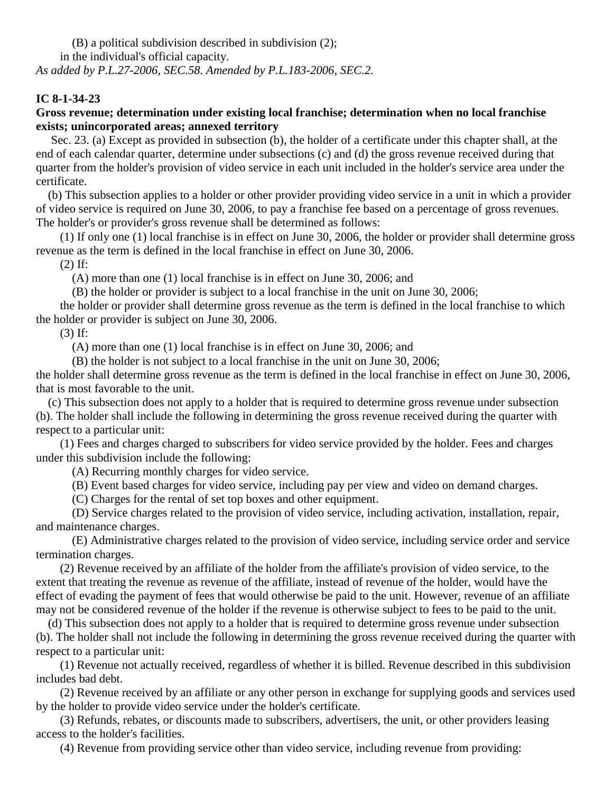(B) a political subdivision described in subdivision (2); in the individual's official capacity.

*As added by P.L.27-2006, SEC.58. Amended by P.L.183-2006, SEC.2.*

## **IC 8-1-34-23**

#### **Gross revenue; determination under existing local franchise; determination when no local franchise exists; unincorporated areas; annexed territory**

Sec. 23. (a) Except as provided in subsection (b), the holder of a certificate under this chapter shall, at the end of each calendar quarter, determine under subsections (c) and (d) the gross revenue received during that quarter from the holder's provision of video service in each unit included in the holder's service area under the certificate.

 (b) This subsection applies to a holder or other provider providing video service in a unit in which a provider of video service is required on June 30, 2006, to pay a franchise fee based on a percentage of gross revenues. The holder's or provider's gross revenue shall be determined as follows:

 (1) If only one (1) local franchise is in effect on June 30, 2006, the holder or provider shall determine gross revenue as the term is defined in the local franchise in effect on June 30, 2006.

(2) If:

(A) more than one (1) local franchise is in effect on June 30, 2006; and

(B) the holder or provider is subject to a local franchise in the unit on June 30, 2006;

 the holder or provider shall determine gross revenue as the term is defined in the local franchise to which the holder or provider is subject on June 30, 2006.

(3) If:

(A) more than one (1) local franchise is in effect on June 30, 2006; and

(B) the holder is not subject to a local franchise in the unit on June 30, 2006;

the holder shall determine gross revenue as the term is defined in the local franchise in effect on June 30, 2006, that is most favorable to the unit.

 (c) This subsection does not apply to a holder that is required to determine gross revenue under subsection (b). The holder shall include the following in determining the gross revenue received during the quarter with respect to a particular unit:

 (1) Fees and charges charged to subscribers for video service provided by the holder. Fees and charges under this subdivision include the following:

(A) Recurring monthly charges for video service.

(B) Event based charges for video service, including pay per view and video on demand charges.

(C) Charges for the rental of set top boxes and other equipment.

 (D) Service charges related to the provision of video service, including activation, installation, repair, and maintenance charges.

 (E) Administrative charges related to the provision of video service, including service order and service termination charges.

 (2) Revenue received by an affiliate of the holder from the affiliate's provision of video service, to the extent that treating the revenue as revenue of the affiliate, instead of revenue of the holder, would have the effect of evading the payment of fees that would otherwise be paid to the unit. However, revenue of an affiliate may not be considered revenue of the holder if the revenue is otherwise subject to fees to be paid to the unit.

 (d) This subsection does not apply to a holder that is required to determine gross revenue under subsection (b). The holder shall not include the following in determining the gross revenue received during the quarter with respect to a particular unit:

 (1) Revenue not actually received, regardless of whether it is billed. Revenue described in this subdivision includes bad debt.

 (2) Revenue received by an affiliate or any other person in exchange for supplying goods and services used by the holder to provide video service under the holder's certificate.

 (3) Refunds, rebates, or discounts made to subscribers, advertisers, the unit, or other providers leasing access to the holder's facilities.

(4) Revenue from providing service other than video service, including revenue from providing: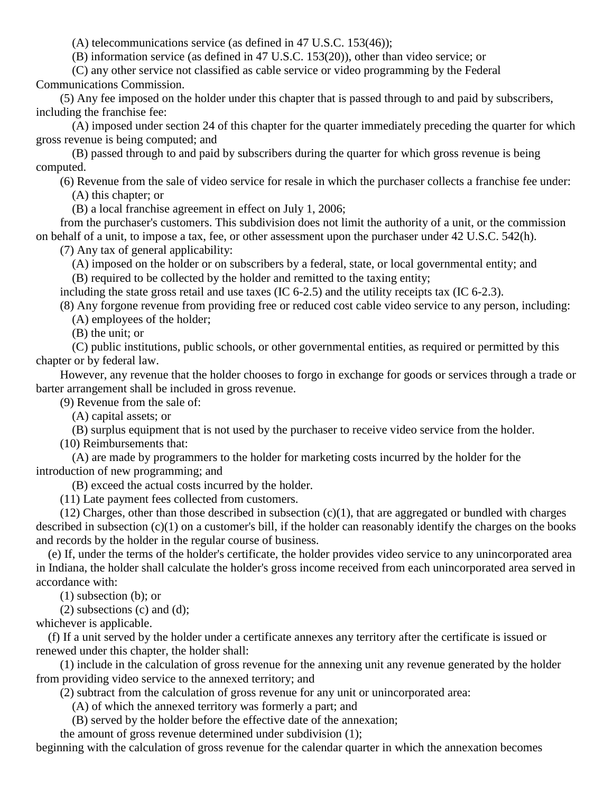(A) telecommunications service (as defined in 47 U.S.C. 153(46));

(B) information service (as defined in 47 U.S.C. 153(20)), other than video service; or

 (C) any other service not classified as cable service or video programming by the Federal Communications Commission.

 (5) Any fee imposed on the holder under this chapter that is passed through to and paid by subscribers, including the franchise fee:

 (A) imposed under section 24 of this chapter for the quarter immediately preceding the quarter for which gross revenue is being computed; and

 (B) passed through to and paid by subscribers during the quarter for which gross revenue is being computed.

(6) Revenue from the sale of video service for resale in which the purchaser collects a franchise fee under:

(A) this chapter; or

(B) a local franchise agreement in effect on July 1, 2006;

 from the purchaser's customers. This subdivision does not limit the authority of a unit, or the commission on behalf of a unit, to impose a tax, fee, or other assessment upon the purchaser under 42 U.S.C. 542(h).

(7) Any tax of general applicability:

(A) imposed on the holder or on subscribers by a federal, state, or local governmental entity; and

(B) required to be collected by the holder and remitted to the taxing entity;

including the state gross retail and use taxes (IC 6-2.5) and the utility receipts tax (IC 6-2.3).

(8) Any forgone revenue from providing free or reduced cost cable video service to any person, including:

(A) employees of the holder;

(B) the unit; or

 (C) public institutions, public schools, or other governmental entities, as required or permitted by this chapter or by federal law.

 However, any revenue that the holder chooses to forgo in exchange for goods or services through a trade or barter arrangement shall be included in gross revenue.

(9) Revenue from the sale of:

(A) capital assets; or

(B) surplus equipment that is not used by the purchaser to receive video service from the holder.

(10) Reimbursements that:

 (A) are made by programmers to the holder for marketing costs incurred by the holder for the introduction of new programming; and

(B) exceed the actual costs incurred by the holder.

(11) Late payment fees collected from customers.

(12) Charges, other than those described in subsection  $(c)(1)$ , that are aggregated or bundled with charges described in subsection (c)(1) on a customer's bill, if the holder can reasonably identify the charges on the books and records by the holder in the regular course of business.

 (e) If, under the terms of the holder's certificate, the holder provides video service to any unincorporated area in Indiana, the holder shall calculate the holder's gross income received from each unincorporated area served in accordance with:

(1) subsection (b); or

(2) subsections (c) and (d);

whichever is applicable.

 (f) If a unit served by the holder under a certificate annexes any territory after the certificate is issued or renewed under this chapter, the holder shall:

 (1) include in the calculation of gross revenue for the annexing unit any revenue generated by the holder from providing video service to the annexed territory; and

(2) subtract from the calculation of gross revenue for any unit or unincorporated area:

(A) of which the annexed territory was formerly a part; and

(B) served by the holder before the effective date of the annexation;

the amount of gross revenue determined under subdivision (1);

beginning with the calculation of gross revenue for the calendar quarter in which the annexation becomes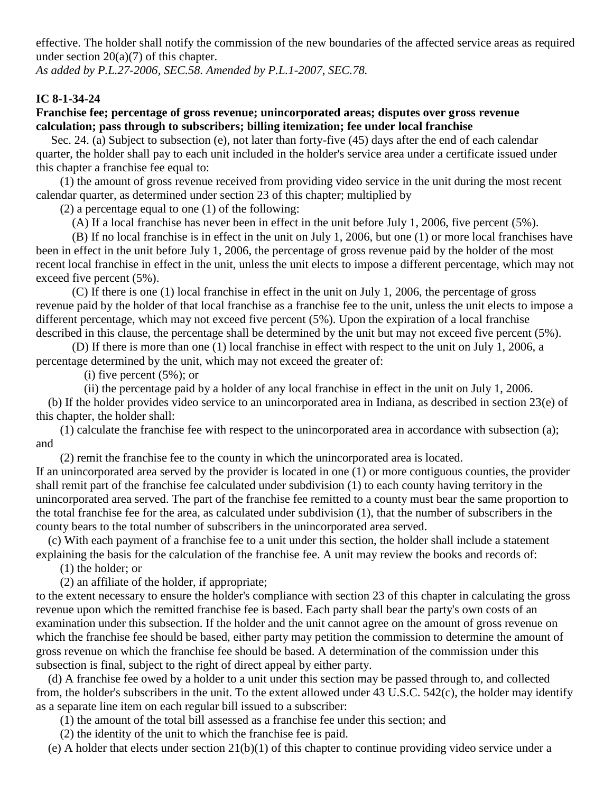effective. The holder shall notify the commission of the new boundaries of the affected service areas as required under section  $20(a)(7)$  of this chapter.

*As added by P.L.27-2006, SEC.58. Amended by P.L.1-2007, SEC.78.*

## **IC 8-1-34-24**

## **Franchise fee; percentage of gross revenue; unincorporated areas; disputes over gross revenue calculation; pass through to subscribers; billing itemization; fee under local franchise**

Sec. 24. (a) Subject to subsection (e), not later than forty-five (45) days after the end of each calendar quarter, the holder shall pay to each unit included in the holder's service area under a certificate issued under this chapter a franchise fee equal to:

 (1) the amount of gross revenue received from providing video service in the unit during the most recent calendar quarter, as determined under section 23 of this chapter; multiplied by

(2) a percentage equal to one (1) of the following:

(A) If a local franchise has never been in effect in the unit before July 1, 2006, five percent (5%).

 (B) If no local franchise is in effect in the unit on July 1, 2006, but one (1) or more local franchises have been in effect in the unit before July 1, 2006, the percentage of gross revenue paid by the holder of the most recent local franchise in effect in the unit, unless the unit elects to impose a different percentage, which may not exceed five percent (5%).

 (C) If there is one (1) local franchise in effect in the unit on July 1, 2006, the percentage of gross revenue paid by the holder of that local franchise as a franchise fee to the unit, unless the unit elects to impose a different percentage, which may not exceed five percent (5%). Upon the expiration of a local franchise described in this clause, the percentage shall be determined by the unit but may not exceed five percent (5%).

 (D) If there is more than one (1) local franchise in effect with respect to the unit on July 1, 2006, a percentage determined by the unit, which may not exceed the greater of:

(i) five percent  $(5\%)$ ; or

(ii) the percentage paid by a holder of any local franchise in effect in the unit on July 1, 2006.

 (b) If the holder provides video service to an unincorporated area in Indiana, as described in section 23(e) of this chapter, the holder shall:

 (1) calculate the franchise fee with respect to the unincorporated area in accordance with subsection (a); and

(2) remit the franchise fee to the county in which the unincorporated area is located.

If an unincorporated area served by the provider is located in one (1) or more contiguous counties, the provider shall remit part of the franchise fee calculated under subdivision (1) to each county having territory in the unincorporated area served. The part of the franchise fee remitted to a county must bear the same proportion to the total franchise fee for the area, as calculated under subdivision (1), that the number of subscribers in the county bears to the total number of subscribers in the unincorporated area served.

 (c) With each payment of a franchise fee to a unit under this section, the holder shall include a statement explaining the basis for the calculation of the franchise fee. A unit may review the books and records of:

(1) the holder; or

(2) an affiliate of the holder, if appropriate;

to the extent necessary to ensure the holder's compliance with section 23 of this chapter in calculating the gross revenue upon which the remitted franchise fee is based. Each party shall bear the party's own costs of an examination under this subsection. If the holder and the unit cannot agree on the amount of gross revenue on which the franchise fee should be based, either party may petition the commission to determine the amount of gross revenue on which the franchise fee should be based. A determination of the commission under this subsection is final, subject to the right of direct appeal by either party.

 (d) A franchise fee owed by a holder to a unit under this section may be passed through to, and collected from, the holder's subscribers in the unit. To the extent allowed under 43 U.S.C. 542(c), the holder may identify as a separate line item on each regular bill issued to a subscriber:

(1) the amount of the total bill assessed as a franchise fee under this section; and

(2) the identity of the unit to which the franchise fee is paid.

(e) A holder that elects under section 21(b)(1) of this chapter to continue providing video service under a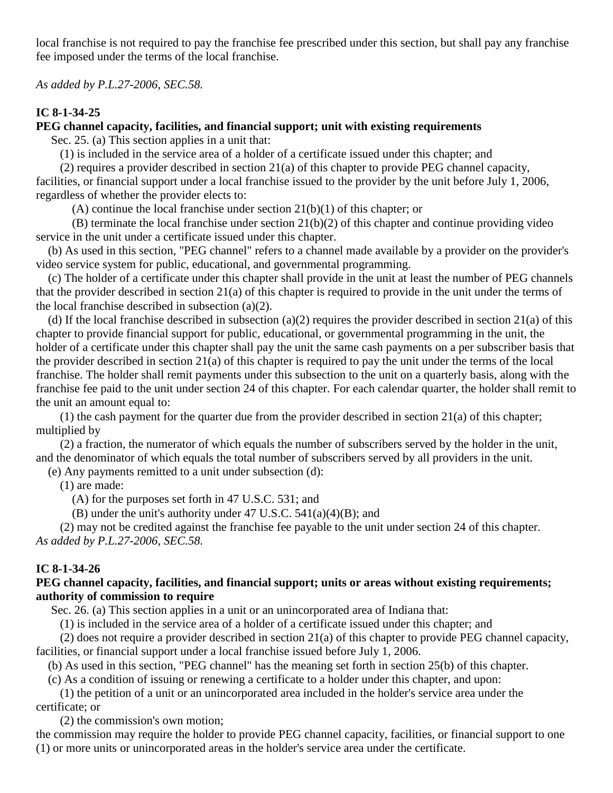local franchise is not required to pay the franchise fee prescribed under this section, but shall pay any franchise fee imposed under the terms of the local franchise.

*As added by P.L.27-2006, SEC.58.*

# **IC 8-1-34-25**

# **PEG channel capacity, facilities, and financial support; unit with existing requirements**

Sec. 25. (a) This section applies in a unit that:

(1) is included in the service area of a holder of a certificate issued under this chapter; and

 (2) requires a provider described in section 21(a) of this chapter to provide PEG channel capacity, facilities, or financial support under a local franchise issued to the provider by the unit before July 1, 2006, regardless of whether the provider elects to:

(A) continue the local franchise under section  $21(b)(1)$  of this chapter; or

 (B) terminate the local franchise under section 21(b)(2) of this chapter and continue providing video service in the unit under a certificate issued under this chapter.

 (b) As used in this section, "PEG channel" refers to a channel made available by a provider on the provider's video service system for public, educational, and governmental programming.

 (c) The holder of a certificate under this chapter shall provide in the unit at least the number of PEG channels that the provider described in section 21(a) of this chapter is required to provide in the unit under the terms of the local franchise described in subsection (a)(2).

(d) If the local franchise described in subsection (a)(2) requires the provider described in section  $21(a)$  of this chapter to provide financial support for public, educational, or governmental programming in the unit, the holder of a certificate under this chapter shall pay the unit the same cash payments on a per subscriber basis that the provider described in section 21(a) of this chapter is required to pay the unit under the terms of the local franchise. The holder shall remit payments under this subsection to the unit on a quarterly basis, along with the franchise fee paid to the unit under section 24 of this chapter. For each calendar quarter, the holder shall remit to the unit an amount equal to:

 (1) the cash payment for the quarter due from the provider described in section 21(a) of this chapter; multiplied by

 (2) a fraction, the numerator of which equals the number of subscribers served by the holder in the unit, and the denominator of which equals the total number of subscribers served by all providers in the unit.

(e) Any payments remitted to a unit under subsection (d):

(1) are made:

(A) for the purposes set forth in 47 U.S.C. 531; and

(B) under the unit's authority under 47 U.S.C.  $541(a)(4)(B)$ ; and

 (2) may not be credited against the franchise fee payable to the unit under section 24 of this chapter. *As added by P.L.27-2006, SEC.58.*

## **IC 8-1-34-26**

## **PEG channel capacity, facilities, and financial support; units or areas without existing requirements; authority of commission to require**

Sec. 26. (a) This section applies in a unit or an unincorporated area of Indiana that:

(1) is included in the service area of a holder of a certificate issued under this chapter; and

 (2) does not require a provider described in section 21(a) of this chapter to provide PEG channel capacity, facilities, or financial support under a local franchise issued before July 1, 2006.

(b) As used in this section, "PEG channel" has the meaning set forth in section 25(b) of this chapter.

(c) As a condition of issuing or renewing a certificate to a holder under this chapter, and upon:

 (1) the petition of a unit or an unincorporated area included in the holder's service area under the certificate; or

(2) the commission's own motion;

the commission may require the holder to provide PEG channel capacity, facilities, or financial support to one (1) or more units or unincorporated areas in the holder's service area under the certificate.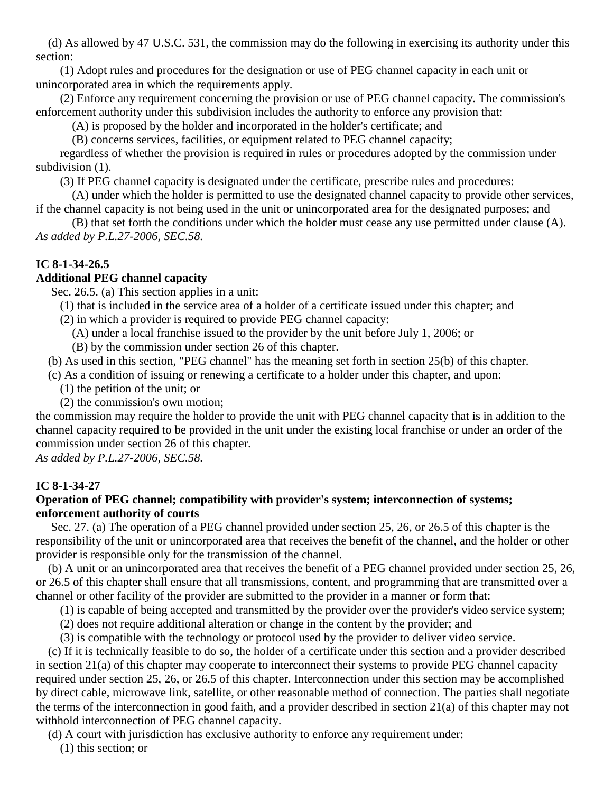(d) As allowed by 47 U.S.C. 531, the commission may do the following in exercising its authority under this section:

 (1) Adopt rules and procedures for the designation or use of PEG channel capacity in each unit or unincorporated area in which the requirements apply.

 (2) Enforce any requirement concerning the provision or use of PEG channel capacity. The commission's enforcement authority under this subdivision includes the authority to enforce any provision that:

(A) is proposed by the holder and incorporated in the holder's certificate; and

(B) concerns services, facilities, or equipment related to PEG channel capacity;

 regardless of whether the provision is required in rules or procedures adopted by the commission under subdivision  $(1)$ .

(3) If PEG channel capacity is designated under the certificate, prescribe rules and procedures:

 (A) under which the holder is permitted to use the designated channel capacity to provide other services, if the channel capacity is not being used in the unit or unincorporated area for the designated purposes; and

 (B) that set forth the conditions under which the holder must cease any use permitted under clause (A). *As added by P.L.27-2006, SEC.58.*

# **IC 8-1-34-26.5**

## **Additional PEG channel capacity**

Sec. 26.5. (a) This section applies in a unit:

- (1) that is included in the service area of a holder of a certificate issued under this chapter; and
- (2) in which a provider is required to provide PEG channel capacity:
	- (A) under a local franchise issued to the provider by the unit before July 1, 2006; or
	- (B) by the commission under section 26 of this chapter.

(b) As used in this section, "PEG channel" has the meaning set forth in section 25(b) of this chapter.

(c) As a condition of issuing or renewing a certificate to a holder under this chapter, and upon:

- (1) the petition of the unit; or
- (2) the commission's own motion;

the commission may require the holder to provide the unit with PEG channel capacity that is in addition to the channel capacity required to be provided in the unit under the existing local franchise or under an order of the commission under section 26 of this chapter.

*As added by P.L.27-2006, SEC.58.*

# **IC 8-1-34-27**

# **Operation of PEG channel; compatibility with provider's system; interconnection of systems; enforcement authority of courts**

Sec. 27. (a) The operation of a PEG channel provided under section 25, 26, or 26.5 of this chapter is the responsibility of the unit or unincorporated area that receives the benefit of the channel, and the holder or other provider is responsible only for the transmission of the channel.

 (b) A unit or an unincorporated area that receives the benefit of a PEG channel provided under section 25, 26, or 26.5 of this chapter shall ensure that all transmissions, content, and programming that are transmitted over a channel or other facility of the provider are submitted to the provider in a manner or form that:

(1) is capable of being accepted and transmitted by the provider over the provider's video service system;

(2) does not require additional alteration or change in the content by the provider; and

(3) is compatible with the technology or protocol used by the provider to deliver video service.

 (c) If it is technically feasible to do so, the holder of a certificate under this section and a provider described in section 21(a) of this chapter may cooperate to interconnect their systems to provide PEG channel capacity required under section 25, 26, or 26.5 of this chapter. Interconnection under this section may be accomplished by direct cable, microwave link, satellite, or other reasonable method of connection. The parties shall negotiate the terms of the interconnection in good faith, and a provider described in section 21(a) of this chapter may not withhold interconnection of PEG channel capacity.

(d) A court with jurisdiction has exclusive authority to enforce any requirement under:

(1) this section; or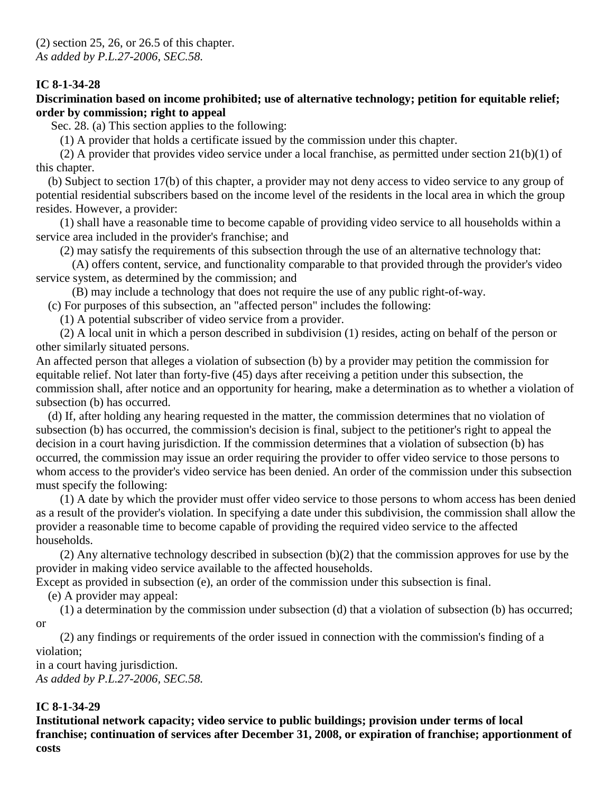## **Discrimination based on income prohibited; use of alternative technology; petition for equitable relief; order by commission; right to appeal**

Sec. 28. (a) This section applies to the following:

(1) A provider that holds a certificate issued by the commission under this chapter.

 (2) A provider that provides video service under a local franchise, as permitted under section 21(b)(1) of this chapter.

 (b) Subject to section 17(b) of this chapter, a provider may not deny access to video service to any group of potential residential subscribers based on the income level of the residents in the local area in which the group resides. However, a provider:

 (1) shall have a reasonable time to become capable of providing video service to all households within a service area included in the provider's franchise; and

(2) may satisfy the requirements of this subsection through the use of an alternative technology that:

 (A) offers content, service, and functionality comparable to that provided through the provider's video service system, as determined by the commission; and

(B) may include a technology that does not require the use of any public right-of-way.

(c) For purposes of this subsection, an "affected person" includes the following:

(1) A potential subscriber of video service from a provider.

 (2) A local unit in which a person described in subdivision (1) resides, acting on behalf of the person or other similarly situated persons.

An affected person that alleges a violation of subsection (b) by a provider may petition the commission for equitable relief. Not later than forty-five (45) days after receiving a petition under this subsection, the commission shall, after notice and an opportunity for hearing, make a determination as to whether a violation of subsection (b) has occurred.

 (d) If, after holding any hearing requested in the matter, the commission determines that no violation of subsection (b) has occurred, the commission's decision is final, subject to the petitioner's right to appeal the decision in a court having jurisdiction. If the commission determines that a violation of subsection (b) has occurred, the commission may issue an order requiring the provider to offer video service to those persons to whom access to the provider's video service has been denied. An order of the commission under this subsection must specify the following:

 (1) A date by which the provider must offer video service to those persons to whom access has been denied as a result of the provider's violation. In specifying a date under this subdivision, the commission shall allow the provider a reasonable time to become capable of providing the required video service to the affected households.

 (2) Any alternative technology described in subsection (b)(2) that the commission approves for use by the provider in making video service available to the affected households.

Except as provided in subsection (e), an order of the commission under this subsection is final.

(e) A provider may appeal:

 (1) a determination by the commission under subsection (d) that a violation of subsection (b) has occurred; or

 (2) any findings or requirements of the order issued in connection with the commission's finding of a violation;

in a court having jurisdiction. *As added by P.L.27-2006, SEC.58.*

# **IC 8-1-34-29**

**Institutional network capacity; video service to public buildings; provision under terms of local franchise; continuation of services after December 31, 2008, or expiration of franchise; apportionment of costs**